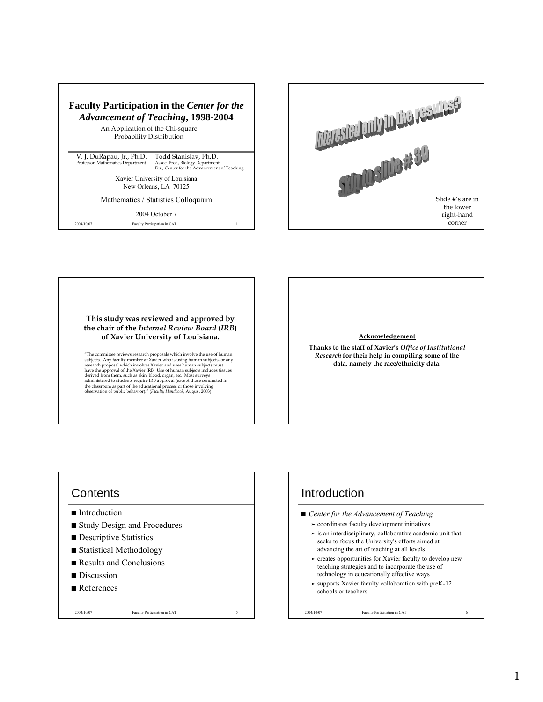



**This study was reviewed and approved by the chair of the** *Internal Review Board* **(***IRB***) of Xavier University of Louisiana.**

"The committee reviews research proposals which involve the use of human subjects. Any faculty member at Xavier who is using human subjects, or any research proposal which involves Xavier and uses human subjects must<br>resea

## **Acknowledgement**

**Thanks to the staff of Xavier's** *Office of Institutional Research* **for their help in compiling some of the data, namely the race/ethnicity data.**

## **Contents**

- Introduction
- Study Design and Procedures

2004/10/07 Faculty Participation in CAT ... 5

- $\blacksquare$  Descriptive Statistics
- $\blacksquare$  Statistical Methodology
- $\blacksquare$  Results and Conclusions
- Discussion
- $\blacksquare$  References

## **Introduction** ■ *Center for the Advancement of Teaching*

- ³ coordinates faculty development initiatives
- $\ge$  is an interdisciplinary, collaborative academic unit that seeks to focus the University's efforts aimed at advancing the art of teaching at all levels
- $\blacktriangleright$  creates opportunities for Xavier faculty to develop new teaching strategies and to incorporate the use of technology in educationally effective ways
- $\blacktriangleright$  supports Xavier faculty collaboration with preK-12 schools or teachers

2004/10/07 Faculty Participation in CAT.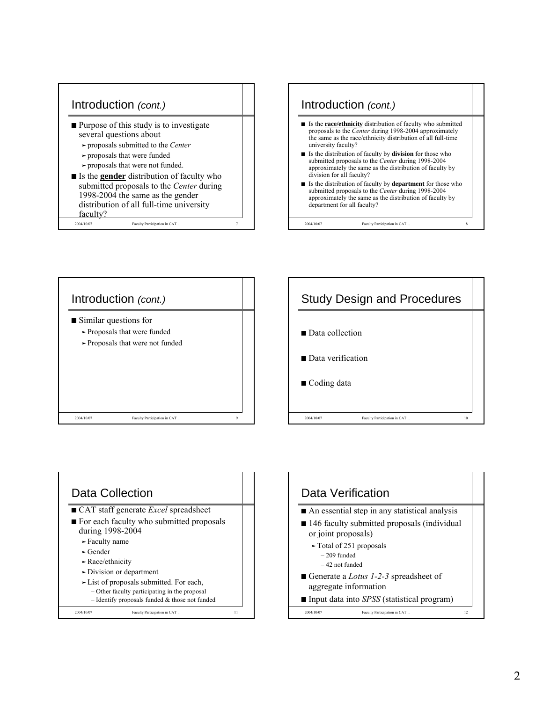







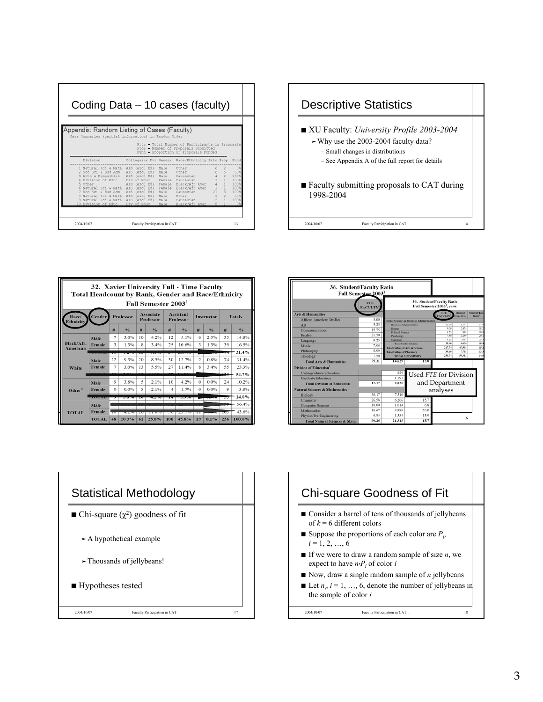| Coding Data – 10 cases (faculty)                                                                                                                                                                          |                                                                                                                                                                                               |                                                                                                                                                                                                    |                     |                                                                  |  |  |  |  |  |  |
|-----------------------------------------------------------------------------------------------------------------------------------------------------------------------------------------------------------|-----------------------------------------------------------------------------------------------------------------------------------------------------------------------------------------------|----------------------------------------------------------------------------------------------------------------------------------------------------------------------------------------------------|---------------------|------------------------------------------------------------------|--|--|--|--|--|--|
| Appendix: Random Listing of Cases (Faculty)<br>Case Summaries (partial information) in Random Order                                                                                                       |                                                                                                                                                                                               | Prtc - Total Number of Participants in Proposals<br>Prop - Number of Proposals Submitted<br>Fund - Proportion of Proposals Funded                                                                  |                     |                                                                  |  |  |  |  |  |  |
| Division                                                                                                                                                                                                  |                                                                                                                                                                                               | College (or Dv) Gender Race/Ethnicity Prtc Prop                                                                                                                                                    |                     | Fund                                                             |  |  |  |  |  |  |
| Natural Sci & Math<br>Soc Sci & Bus Adm<br>Arts & Humanities<br>Division of Educ<br>Other<br>6 Natural Sci & Math<br>Soc Sci & Bus Adm<br>Natural Sci & Math<br>Natural Sci & Math<br>10 Division of Educ | A&S (excl Ed)<br>A&S<br>(excl Ed)<br>(excl Ed) Male<br>A&S<br>Div of Educ<br>A&S (excl Ed) Female<br>A&S<br>(excl Ed)<br>A&S<br>(excl Ed)<br>A&S<br>(excl Ed)<br>A&S (excl Ed)<br>Div of Educ | Male<br>Other<br>Male<br>Other<br>Caucasian<br>Female<br>Caucasian<br>Black/Afr Amer<br>Female<br>Black/Afr Amer<br>Male<br>Caucasian<br>Male<br>Other<br>Male Caucasian<br>Black/Afr Amer<br>Male | 5<br>$\overline{2}$ | 03<br>80%<br>100%<br>100%<br>100%<br>100%<br>100%<br>50%<br>100% |  |  |  |  |  |  |
| 2004/10/07                                                                                                                                                                                                | Faculty Participation in CAT                                                                                                                                                                  |                                                                                                                                                                                                    |                     | 13                                                               |  |  |  |  |  |  |



|                           | 32. Xavier University Full - Time Faculty<br><b>Total Headcount by Rank, Gender and Race/Ethnicity</b> |                     |                  |    | Fall Semester 2003 <sup>1</sup>                                                            |     |       |                    |      |         |               |
|---------------------------|--------------------------------------------------------------------------------------------------------|---------------------|------------------|----|--------------------------------------------------------------------------------------------|-----|-------|--------------------|------|---------|---------------|
| Race/<br><b>Ethnicity</b> | Gender                                                                                                 |                     | <b>Professor</b> |    | <b>Assistant</b><br>Associate<br><b>Instructor</b><br><b>Professor</b><br><b>Professor</b> |     |       |                    |      |         | <b>Totals</b> |
|                           |                                                                                                        | #                   | 96               | #  | 96                                                                                         | 丑   | 9/6   | 華                  | 0/6  | 華       | 9/6           |
|                           | Male                                                                                                   | $\overline{7}$      | 3.0%             | 10 | 4.2%                                                                                       | 12  | 5.1%  | 6                  | 2.5% | 35      | 14.8%         |
| Black/Afr.<br>American    | Female                                                                                                 | $\ddot{\mathbf{z}}$ | 1.3%             | 8  | 3.4%                                                                                       | 25  | 10.6% | 3                  | 1.3% | 39      | 16.5%         |
|                           |                                                                                                        |                     |                  |    |                                                                                            |     |       |                    |      |         | $-31.4%$      |
|                           | Male                                                                                                   | 22                  | 9.3%             | 20 | 8.5%                                                                                       | 30  | 12.7% | $\overline{c}$     | 0.8% | 74      | 31.4%         |
| <b>White</b>              | Female                                                                                                 | 7                   | 3.0%             | 13 | 5.5%                                                                                       | 27  | 11.4% | $\bar{\mathbf{x}}$ | 3.4% | 55      | 23.3%         |
|                           |                                                                                                        |                     |                  |    |                                                                                            |     |       |                    |      | L30.    | 54.7%         |
|                           | Male                                                                                                   | o                   | 3.8%             | 5  | 2.1%                                                                                       | 10  | 4.2%  | $\Omega$           | 0.0% | 24      | 10.2%         |
| Other <sup>2</sup>        | Female                                                                                                 | $\Omega$            | 0.0%             | 5  | 2.1%                                                                                       | 4   | 1.7%  | $\Omega$           | 0.0% | $\circ$ | 3.8%          |
|                           |                                                                                                        |                     |                  |    |                                                                                            |     |       |                    |      | w.      | 14.0%         |
|                           | Male                                                                                                   |                     |                  |    |                                                                                            |     |       |                    |      |         | 56.4%         |
| <b>TOTAL</b>              | Female                                                                                                 |                     |                  |    |                                                                                            |     |       |                    |      | man a   | 43.6%         |
|                           | <b>TOTAL</b>                                                                                           | 48                  | 20.3%            | 61 | 25.8%                                                                                      | 108 | 45.8% | 19                 | 8.1% | 236     | 100.0%        |

| 36. Student/Faculty Ratio                 | Fall Semester 2003 <sup>1</sup> |                                             |                                                                      |                              |                             |                                          |
|-------------------------------------------|---------------------------------|---------------------------------------------|----------------------------------------------------------------------|------------------------------|-----------------------------|------------------------------------------|
|                                           | <b>FTE</b><br><b>FACULTY</b>    |                                             | 36. Student/Faculty Ratio<br>Fall Semester 2003 <sup>1</sup> , cont. |                              |                             |                                          |
| <b>Arts &amp; Humanities</b>              |                                 |                                             |                                                                      | <b>FTE</b><br><b>FACULTY</b> | <b>Student</b><br>un, Hrs.' | <b>Student Fac</b><br>Ratio <sup>1</sup> |
| African American Studies                  | 3.00                            |                                             | Social Sciences & Rusiness Administration                            |                              |                             |                                          |
| Art                                       | 5.25                            | <b>Business Administration</b>              |                                                                      | 11.00                        | 2.391                       | 14.5                                     |
| Communications                            | 15.75                           | Hutory                                      |                                                                      | 9.00                         | 2.454                       | 18.2                                     |
| <b>English</b>                            | 21.50                           | <b>Political Science</b>                    |                                                                      | 3.74<br>7.50                 | 918<br>2.259                | 18.8<br>20.1                             |
|                                           | 9.25                            | Psychology<br>Sociology                     |                                                                      | 4.25                         | 1.614                       | 25.1                                     |
| Language                                  |                                 |                                             | <b>Total Social Sciences</b>                                         | 14.00                        | 9.636                       | 18.4                                     |
| Music                                     | 7.06                            | <b>Total College of Arts &amp; Sciences</b> |                                                                      | 217.74                       | 47,598                      | 15.2                                     |
| Philosophy                                | 6.00                            | <b>Total College of Pharmacy</b>            |                                                                      | 39.00                        | 7,755                       | 13.3                                     |
| Theology                                  | 7.50                            |                                             | <b>TOTAL UNIVERSITY</b>                                              | 256.74                       | 66.663                      | 14.9                                     |
| <b>Total Arts &amp; Humanities</b>        | 75.31                           | 14,629                                      | 13.0                                                                 |                              |                             |                                          |
| Division of Education <sup>5</sup>        |                                 |                                             |                                                                      |                              |                             |                                          |
| Undergraduate Education                   |                                 | 829                                         | Used FTE for Division                                                |                              |                             |                                          |
| Graduate Education                        |                                 | 1,191                                       |                                                                      |                              |                             |                                          |
| <b>Total Division of Education</b>        | 17.17                           | 2.020                                       |                                                                      | and Department               |                             |                                          |
| <b>Natural Sciences &amp; Mathematics</b> |                                 |                                             |                                                                      | analyses                     |                             |                                          |
| Biology                                   | 30.17                           | 7.510                                       |                                                                      |                              |                             |                                          |
| Chemistry                                 | 26.58                           | 6,266                                       | 15.7                                                                 |                              |                             |                                          |
| <b>Computer Science</b>                   | 10.00                           | 1.014                                       | 6.8                                                                  |                              |                             |                                          |
| <b>Mathematics</b>                        | 16.67                           | 4,989                                       | 20.0                                                                 |                              |                             |                                          |
| Physics/Pre-Engineering                   | 6.84                            | 1.534                                       | 15.0                                                                 |                              |                             |                                          |
| <b>Total Natural Sciences &amp; Math</b>  | 90.26                           | 21.313                                      | 15.7                                                                 |                              | 16                          |                                          |



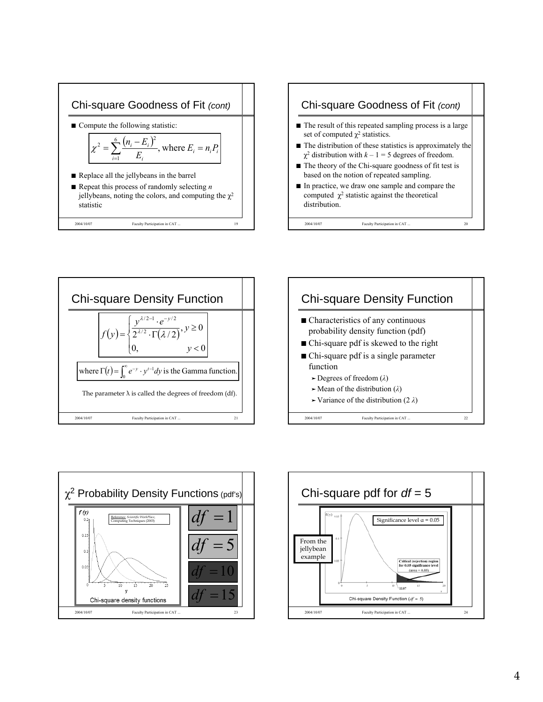









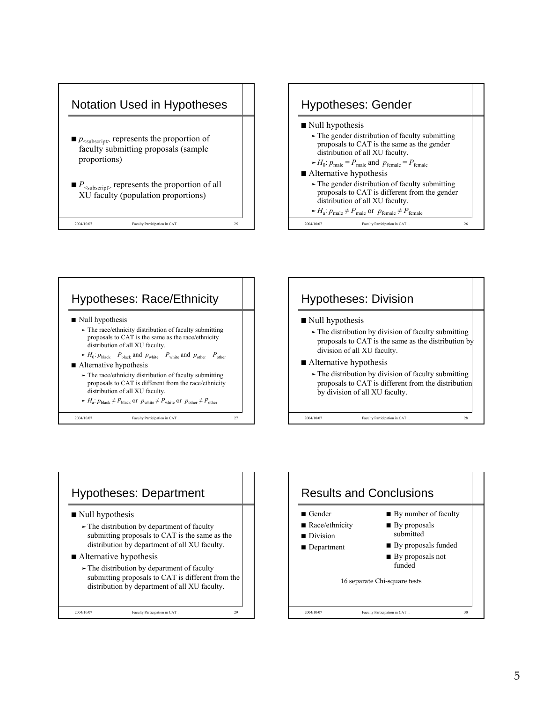









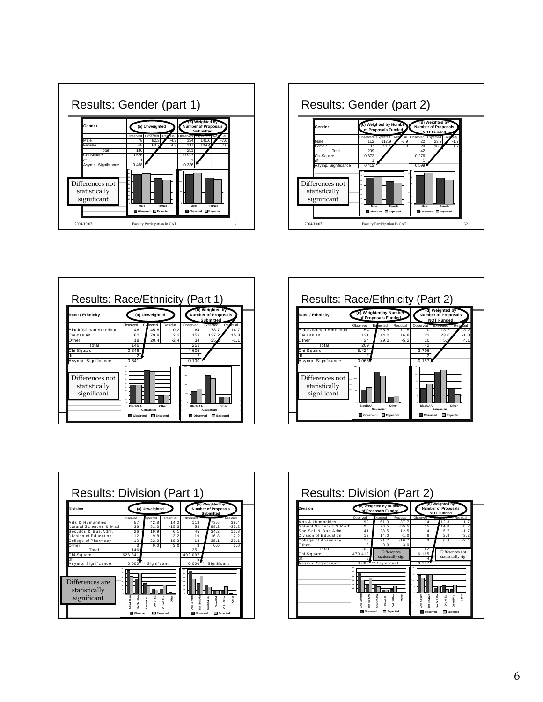